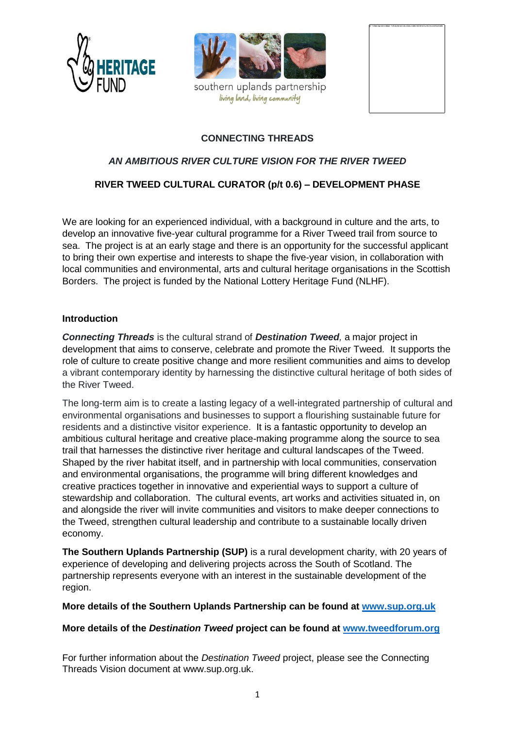



southern uplands partnership living land, living community



# **CONNECTING THREADS**

# *AN AMBITIOUS RIVER CULTURE VISION FOR THE RIVER TWEED*

# **RIVER TWEED CULTURAL CURATOR (p/t 0.6) – DEVELOPMENT PHASE**

We are looking for an experienced individual, with a background in culture and the arts, to develop an innovative five-year cultural programme for a River Tweed trail from source to sea. The project is at an early stage and there is an opportunity for the successful applicant to bring their own expertise and interests to shape the five-year vision, in collaboration with local communities and environmental, arts and cultural heritage organisations in the Scottish Borders. The project is funded by the National Lottery Heritage Fund (NLHF).

#### **Introduction**

*Connecting Threads* is the cultural strand of *Destination Tweed,* a major project in development that aims to conserve, celebrate and promote the River Tweed*.* It supports the role of culture to create positive change and more resilient communities and aims to develop a vibrant contemporary identity by harnessing the distinctive cultural heritage of both sides of the River Tweed.

The long-term aim is to create a lasting legacy of a well-integrated partnership of cultural and environmental organisations and businesses to support a flourishing sustainable future for residents and a distinctive visitor experience. It is a fantastic opportunity to develop an ambitious cultural heritage and creative place-making programme along the source to sea trail that harnesses the distinctive river heritage and cultural landscapes of the Tweed. Shaped by the river habitat itself, and in partnership with local communities, conservation and environmental organisations, the programme will bring different knowledges and creative practices together in innovative and experiential ways to support a culture of stewardship and collaboration. The cultural events, art works and activities situated in, on and alongside the river will invite communities and visitors to make deeper connections to the Tweed, strengthen cultural leadership and contribute to a sustainable locally driven economy.

**The Southern Uplands Partnership (SUP)** is a rural development charity, with 20 years of experience of developing and delivering projects across the South of Scotland. The partnership represents everyone with an interest in the sustainable development of the region.

**More details of the Southern Uplands Partnership can be found at [www.sup.org.uk](http://www.sup.org.uk/)**

## **More details of the** *Destination Tweed* **project can be found at [www.tweedforum.org](http://www.tweedforum.org/)**

For further information about the *Destination Tweed* project, please see the Connecting Threads Vision document at www.sup.org.uk.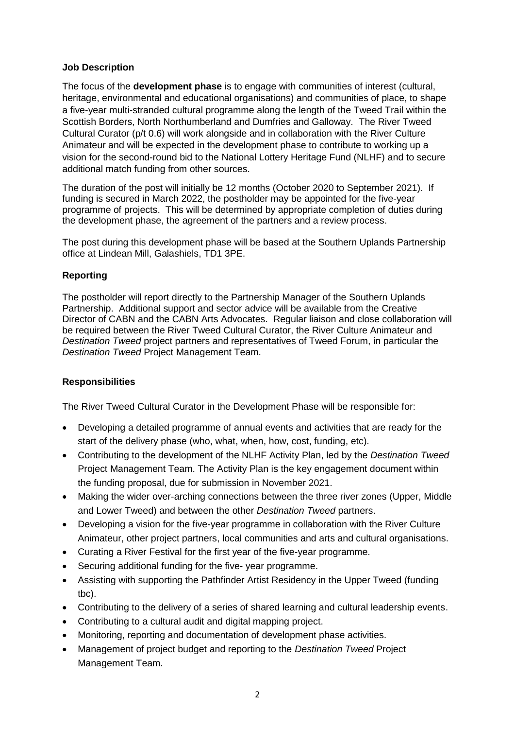#### **Job Description**

The focus of the **development phase** is to engage with communities of interest (cultural, heritage, environmental and educational organisations) and communities of place, to shape a five-year multi-stranded cultural programme along the length of the Tweed Trail within the Scottish Borders, North Northumberland and Dumfries and Galloway. The River Tweed Cultural Curator (p/t 0.6) will work alongside and in collaboration with the River Culture Animateur and will be expected in the development phase to contribute to working up a vision for the second-round bid to the National Lottery Heritage Fund (NLHF) and to secure additional match funding from other sources.

The duration of the post will initially be 12 months (October 2020 to September 2021). If funding is secured in March 2022, the postholder may be appointed for the five-year programme of projects. This will be determined by appropriate completion of duties during the development phase, the agreement of the partners and a review process.

The post during this development phase will be based at the Southern Uplands Partnership office at Lindean Mill, Galashiels, TD1 3PE.

#### **Reporting**

The postholder will report directly to the Partnership Manager of the Southern Uplands Partnership. Additional support and sector advice will be available from the Creative Director of CABN and the CABN Arts Advocates. Regular liaison and close collaboration will be required between the River Tweed Cultural Curator, the River Culture Animateur and *Destination Tweed* project partners and representatives of Tweed Forum, in particular the *Destination Tweed* Project Management Team.

## **Responsibilities**

The River Tweed Cultural Curator in the Development Phase will be responsible for:

- Developing a detailed programme of annual events and activities that are ready for the start of the delivery phase (who, what, when, how, cost, funding, etc).
- Contributing to the development of the NLHF Activity Plan, led by the *Destination Tweed* Project Management Team. The Activity Plan is the key engagement document within the funding proposal, due for submission in November 2021.
- Making the wider over-arching connections between the three river zones (Upper, Middle and Lower Tweed) and between the other *Destination Tweed* partners.
- Developing a vision for the five-year programme in collaboration with the River Culture Animateur, other project partners, local communities and arts and cultural organisations.
- Curating a River Festival for the first year of the five-year programme.
- Securing additional funding for the five- year programme.
- Assisting with supporting the Pathfinder Artist Residency in the Upper Tweed (funding tbc).
- Contributing to the delivery of a series of shared learning and cultural leadership events.
- Contributing to a cultural audit and digital mapping project.
- Monitoring, reporting and documentation of development phase activities.
- Management of project budget and reporting to the *Destination Tweed* Project Management Team.